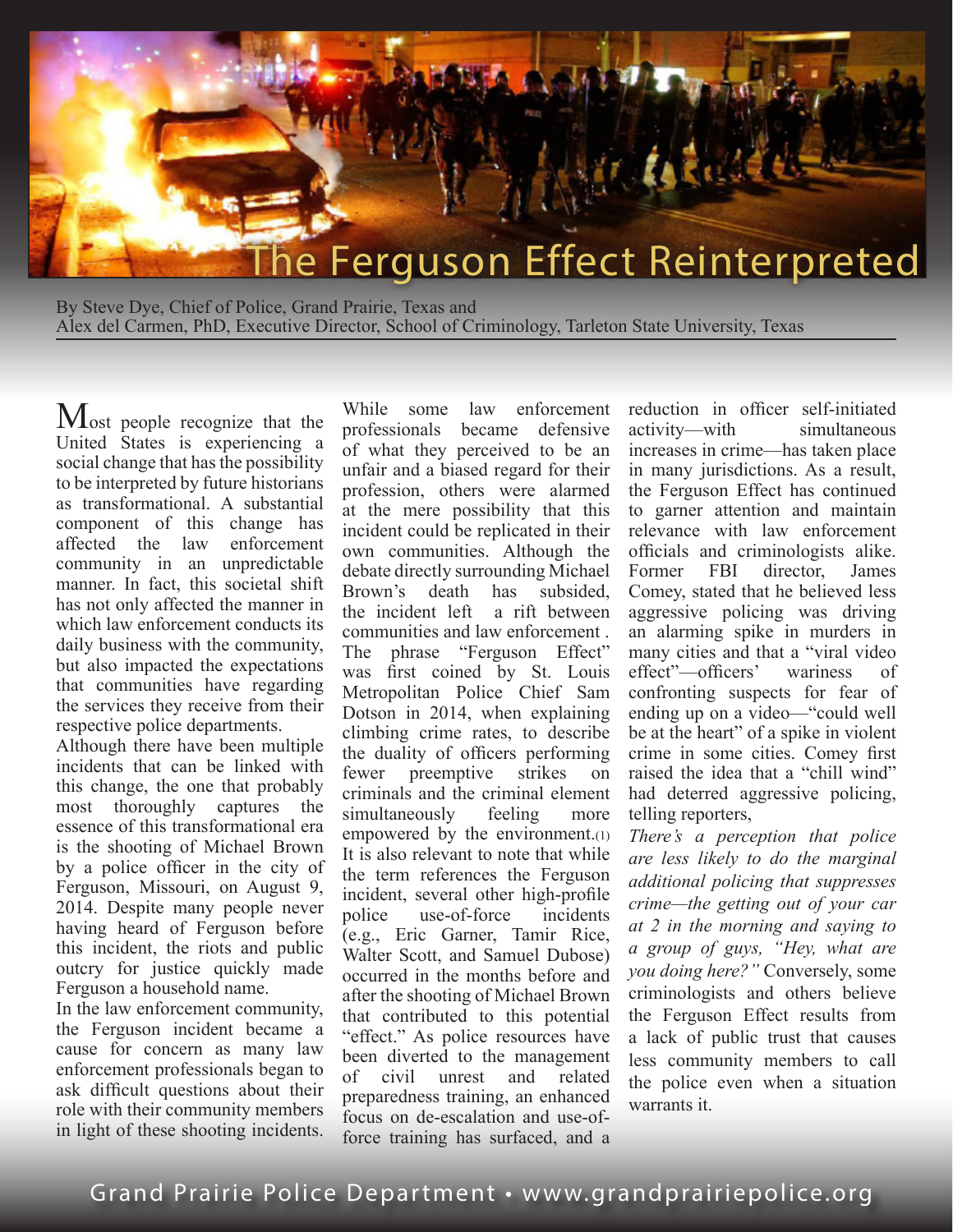

By Steve Dye, Chief of Police, Grand Prairie, Texas and Alex del Carmen, PhD, Executive Director, School of Criminology, Tarleton State University, Texas

Most people recognize that the United States is experiencing a social change that has the possibility to be interpreted by future historians as transformational. A substantial component of this change has affected the law enforcement community in an unpredictable manner. In fact, this societal shift has not only affected the manner in which law enforcement conducts its daily business with the community, but also impacted the expectations that communities have regarding the services they receive from their respective police departments.

Although there have been multiple incidents that can be linked with this change, the one that probably most thoroughly captures the essence of this transformational era is the shooting of Michael Brown by a police officer in the city of Ferguson, Missouri, on August 9, 2014. Despite many people never having heard of Ferguson before this incident, the riots and public outcry for justice quickly made Ferguson a household name.

In the law enforcement community, the Ferguson incident became a cause for concern as many law enforcement professionals began to ask difficult questions about their role with their community members in light of these shooting incidents.

While some law enforcement professionals became defensive of what they perceived to be an unfair and a biased regard for their profession, others were alarmed at the mere possibility that this incident could be replicated in their own communities. Although the debate directly surrounding Michael Brown's death has subsided, the incident left a rift between communities and law enforcement . The phrase "Ferguson Effect" was first coined by St. Louis Metropolitan Police Chief Sam Dotson in 2014, when explaining climbing crime rates, to describe the duality of officers performing fewer preemptive strikes on criminals and the criminal element simultaneously feeling more empowered by the environment.(1) It is also relevant to note that while the term references the Ferguson incident, several other high-profile police use-of-force incidents (e.g., Eric Garner, Tamir Rice, Walter Scott, and Samuel Dubose) occurred in the months before and after the shooting of Michael Brown that contributed to this potential "effect." As police resources have been diverted to the management of civil unrest and related preparedness training, an enhanced focus on de-escalation and use-offorce training has surfaced, and a

reduction in officer self-initiated activity—with simultaneous increases in crime—has taken place in many jurisdictions. As a result, the Ferguson Effect has continued to garner attention and maintain relevance with law enforcement officials and criminologists alike. Former FBI director, James Comey, stated that he believed less aggressive policing was driving an alarming spike in murders in many cities and that a "viral video effect"—officers' wariness of confronting suspects for fear of ending up on a video—"could well be at the heart" of a spike in violent crime in some cities. Comey first raised the idea that a "chill wind" had deterred aggressive policing, telling reporters,

*There's a perception that police are less likely to do the marginal additional policing that suppresses crime—the getting out of your car at 2 in the morning and saying to a group of guys, "Hey, what are you doing here?"* Conversely, some criminologists and others believe the Ferguson Effect results from a lack of public trust that causes less community members to call the police even when a situation warrants it.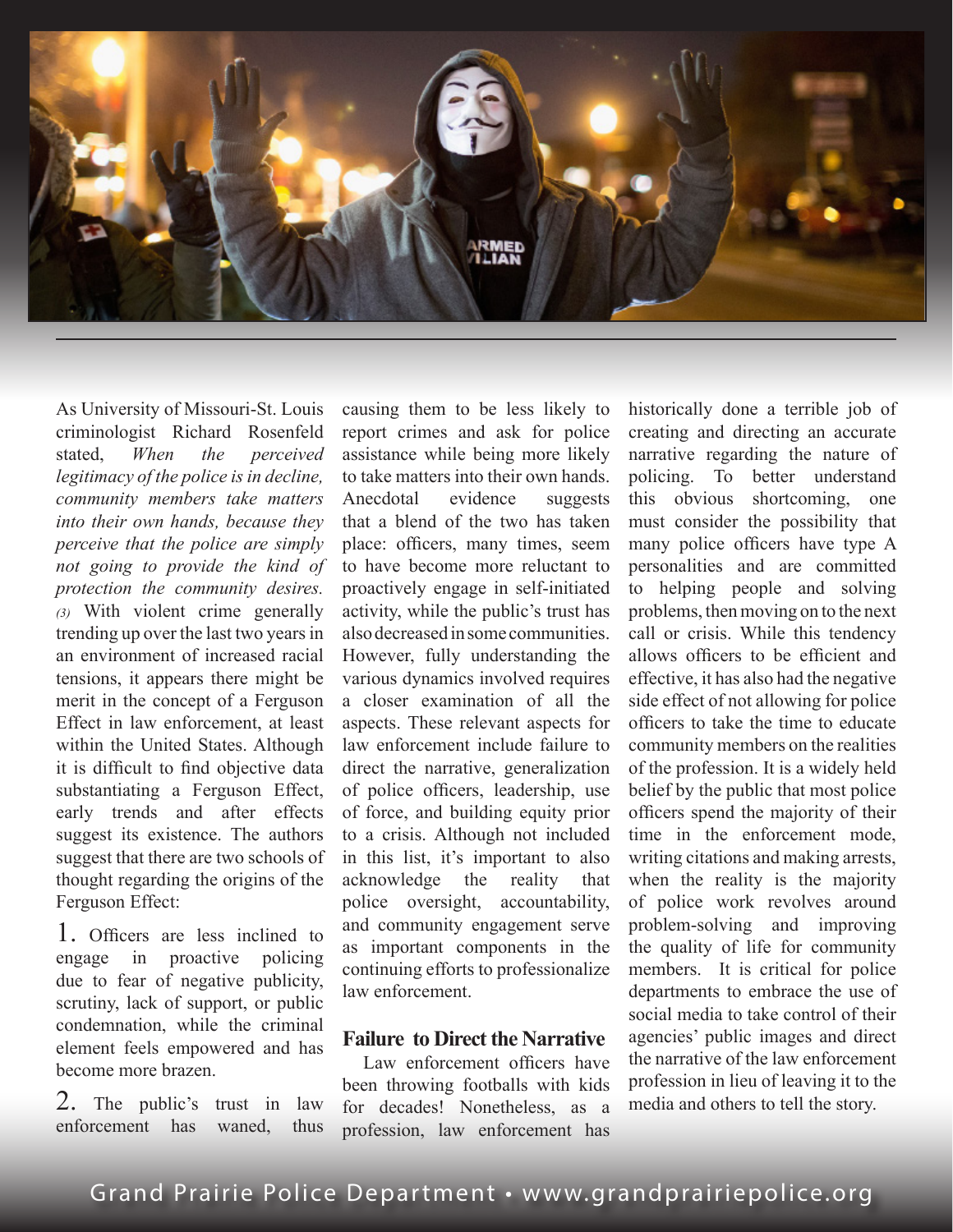

As University of Missouri-St. Louis criminologist Richard Rosenfeld stated, *When the perceived legitimacy of the police is in decline, community members take matters into their own hands, because they perceive that the police are simply not going to provide the kind of protection the community desires. (3)* With violent crime generally trending up over the last two years in an environment of increased racial tensions, it appears there might be merit in the concept of a Ferguson Effect in law enforcement, at least within the United States. Although it is difficult to find objective data substantiating a Ferguson Effect, early trends and after effects suggest its existence. The authors suggest that there are two schools of thought regarding the origins of the Ferguson Effect:

1. Officers are less inclined to engage in proactive policing due to fear of negative publicity, scrutiny, lack of support, or public condemnation, while the criminal element feels empowered and has become more brazen.

2. The public's trust in law enforcement has waned thus

causing them to be less likely to report crimes and ask for police assistance while being more likely to take matters into their own hands. Anecdotal evidence suggests that a blend of the two has taken place: officers, many times, seem to have become more reluctant to proactively engage in self-initiated activity, while the public's trust has also decreased in some communities. However, fully understanding the various dynamics involved requires a closer examination of all the aspects. These relevant aspects for law enforcement include failure to direct the narrative, generalization of police officers, leadership, use of force, and building equity prior to a crisis. Although not included in this list, it's important to also acknowledge the reality that police oversight, accountability, and community engagement serve as important components in the continuing efforts to professionalize law enforcement.

### **Failure to Direct the Narrative**

Law enforcement officers have been throwing footballs with kids for decades! Nonetheless, as a profession, law enforcement has historically done a terrible job of creating and directing an accurate narrative regarding the nature of policing. To better understand this obvious shortcoming, one must consider the possibility that many police officers have type A personalities and are committed to helping people and solving problems, then moving on to the next call or crisis. While this tendency allows officers to be efficient and effective, it has also had the negative side effect of not allowing for police officers to take the time to educate community members on the realities of the profession. It is a widely held belief by the public that most police officers spend the majority of their time in the enforcement mode, writing citations and making arrests, when the reality is the majority of police work revolves around problem-solving and improving the quality of life for community members. It is critical for police departments to embrace the use of social media to take control of their agencies' public images and direct the narrative of the law enforcement profession in lieu of leaving it to the media and others to tell the story.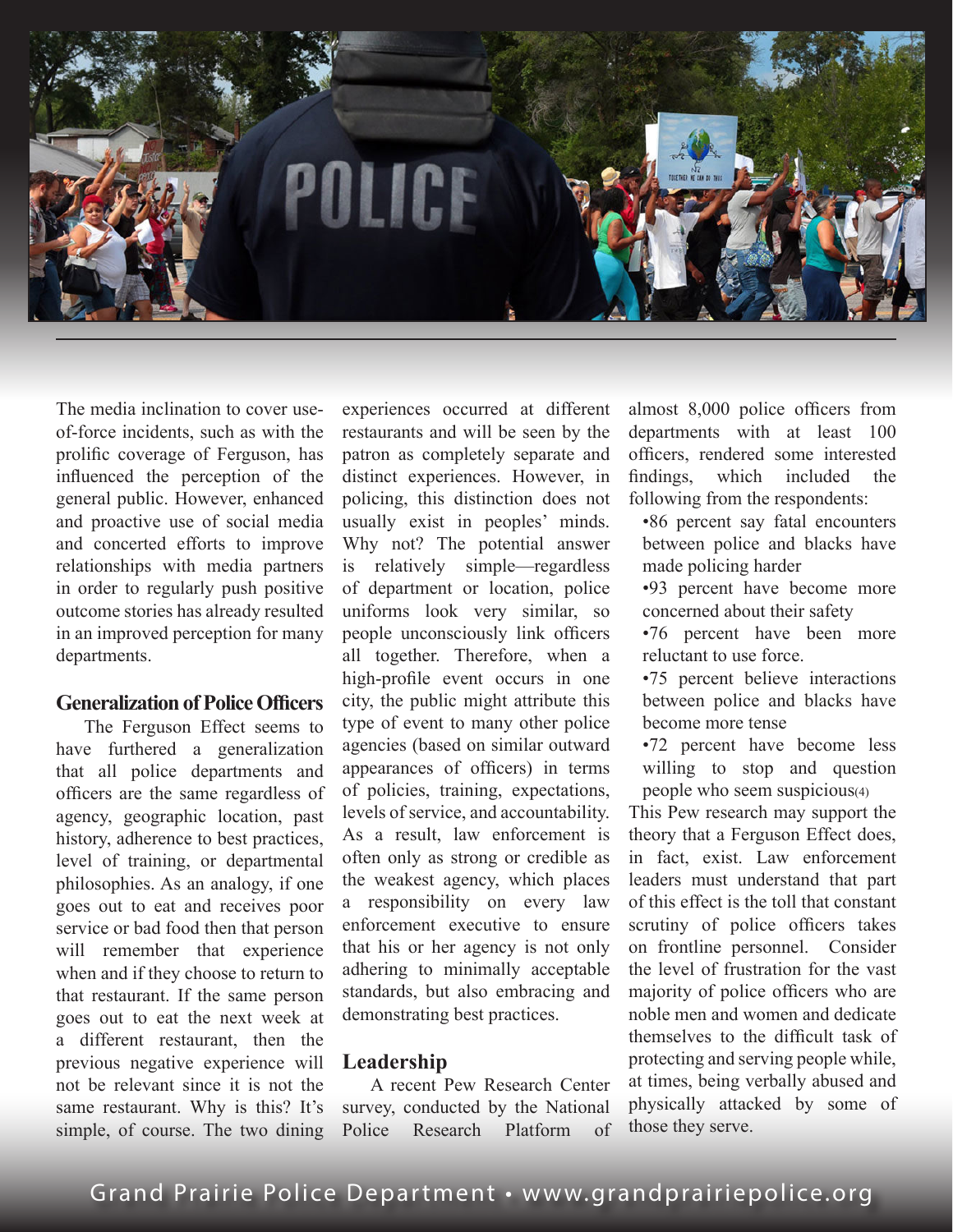

The media inclination to cover useof-force incidents, such as with the prolific coverage of Ferguson, has influenced the perception of the general public. However, enhanced and proactive use of social media and concerted efforts to improve relationships with media partners in order to regularly push positive outcome stories has already resulted in an improved perception for many departments.

## **Generalization of Police Officers**

The Ferguson Effect seems to have furthered a generalization that all police departments and officers are the same regardless of agency, geographic location, past history, adherence to best practices, level of training, or departmental philosophies. As an analogy, if one goes out to eat and receives poor service or bad food then that person will remember that experience when and if they choose to return to that restaurant. If the same person goes out to eat the next week at a different restaurant, then the previous negative experience will not be relevant since it is not the same restaurant. Why is this? It's simple, of course. The two dining

experiences occurred at different restaurants and will be seen by the patron as completely separate and distinct experiences. However, in policing, this distinction does not usually exist in peoples' minds. Why not? The potential answer is relatively simple—regardless of department or location, police uniforms look very similar, so people unconsciously link officers all together. Therefore, when a high-profile event occurs in one city, the public might attribute this type of event to many other police agencies (based on similar outward appearances of officers) in terms of policies, training, expectations, levels of service, and accountability. As a result, law enforcement is often only as strong or credible as the weakest agency, which places a responsibility on every law enforcement executive to ensure that his or her agency is not only adhering to minimally acceptable standards, but also embracing and demonstrating best practices.

#### **Leadership**

A recent Pew Research Center survey, conducted by the National Police Research Platform of almost 8,000 police officers from departments with at least 100 officers, rendered some interested findings, which included the following from the respondents:

•86 percent say fatal encounters between police and blacks have made policing harder

•93 percent have become more concerned about their safety

•76 percent have been more reluctant to use force.

•75 percent believe interactions between police and blacks have become more tense

•72 percent have become less willing to stop and question people who seem suspicious(4)

This Pew research may support the theory that a Ferguson Effect does, in fact, exist. Law enforcement leaders must understand that part of this effect is the toll that constant scrutiny of police officers takes on frontline personnel. Consider the level of frustration for the vast majority of police officers who are noble men and women and dedicate themselves to the difficult task of protecting and serving people while, at times, being verbally abused and physically attacked by some of those they serve.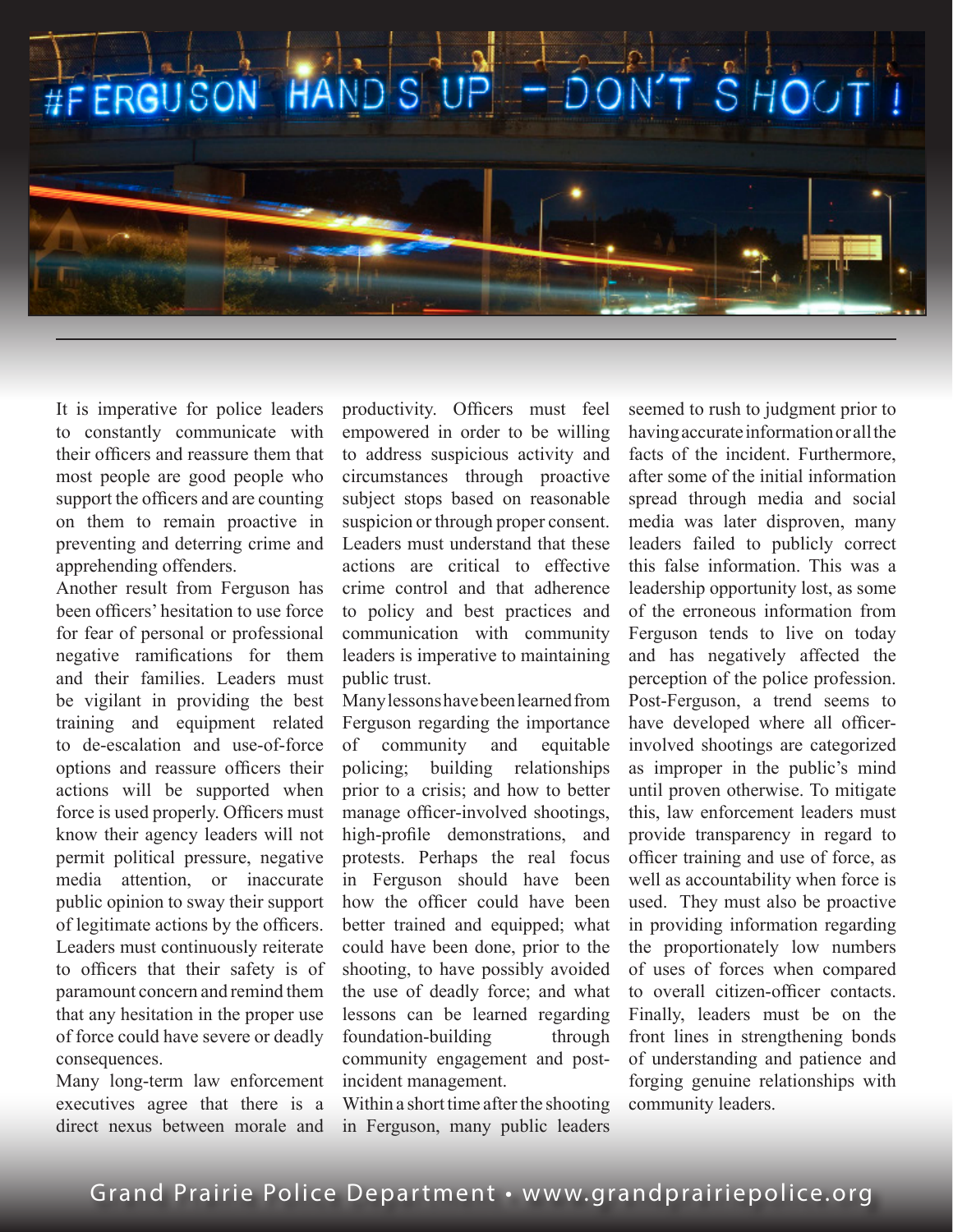

It is imperative for police leaders to constantly communicate with their officers and reassure them that most people are good people who support the officers and are counting on them to remain proactive in preventing and deterring crime and apprehending offenders.

Another result from Ferguson has been officers' hesitation to use force for fear of personal or professional negative ramifications for them and their families. Leaders must be vigilant in providing the best training and equipment related to de-escalation and use-of-force options and reassure officers their actions will be supported when force is used properly. Officers must know their agency leaders will not permit political pressure, negative media attention, or inaccurate public opinion to sway their support of legitimate actions by the officers. Leaders must continuously reiterate to officers that their safety is of paramount concern and remind them that any hesitation in the proper use of force could have severe or deadly consequences.

Many long-term law enforcement executives agree that there is a direct nexus between morale and productivity. Officers must feel empowered in order to be willing to address suspicious activity and circumstances through proactive subject stops based on reasonable suspicion or through proper consent. Leaders must understand that these actions are critical to effective crime control and that adherence to policy and best practices and communication with community leaders is imperative to maintaining public trust.

Many lessons have been learned from Ferguson regarding the importance of community and equitable policing; building relationships prior to a crisis; and how to better manage officer-involved shootings, high-profile demonstrations, and protests. Perhaps the real focus in Ferguson should have been how the officer could have been better trained and equipped; what could have been done, prior to the shooting, to have possibly avoided the use of deadly force; and what lessons can be learned regarding foundation-building through community engagement and postincident management.

Within a short time after the shooting in Ferguson, many public leaders seemed to rush to judgment prior to having accurate information or all the facts of the incident. Furthermore, after some of the initial information spread through media and social media was later disproven, many leaders failed to publicly correct this false information. This was a leadership opportunity lost, as some of the erroneous information from Ferguson tends to live on today and has negatively affected the perception of the police profession. Post-Ferguson, a trend seems to have developed where all officerinvolved shootings are categorized as improper in the public's mind until proven otherwise. To mitigate this, law enforcement leaders must provide transparency in regard to officer training and use of force, as well as accountability when force is used. They must also be proactive in providing information regarding the proportionately low numbers of uses of forces when compared to overall citizen-officer contacts. Finally, leaders must be on the front lines in strengthening bonds of understanding and patience and forging genuine relationships with community leaders.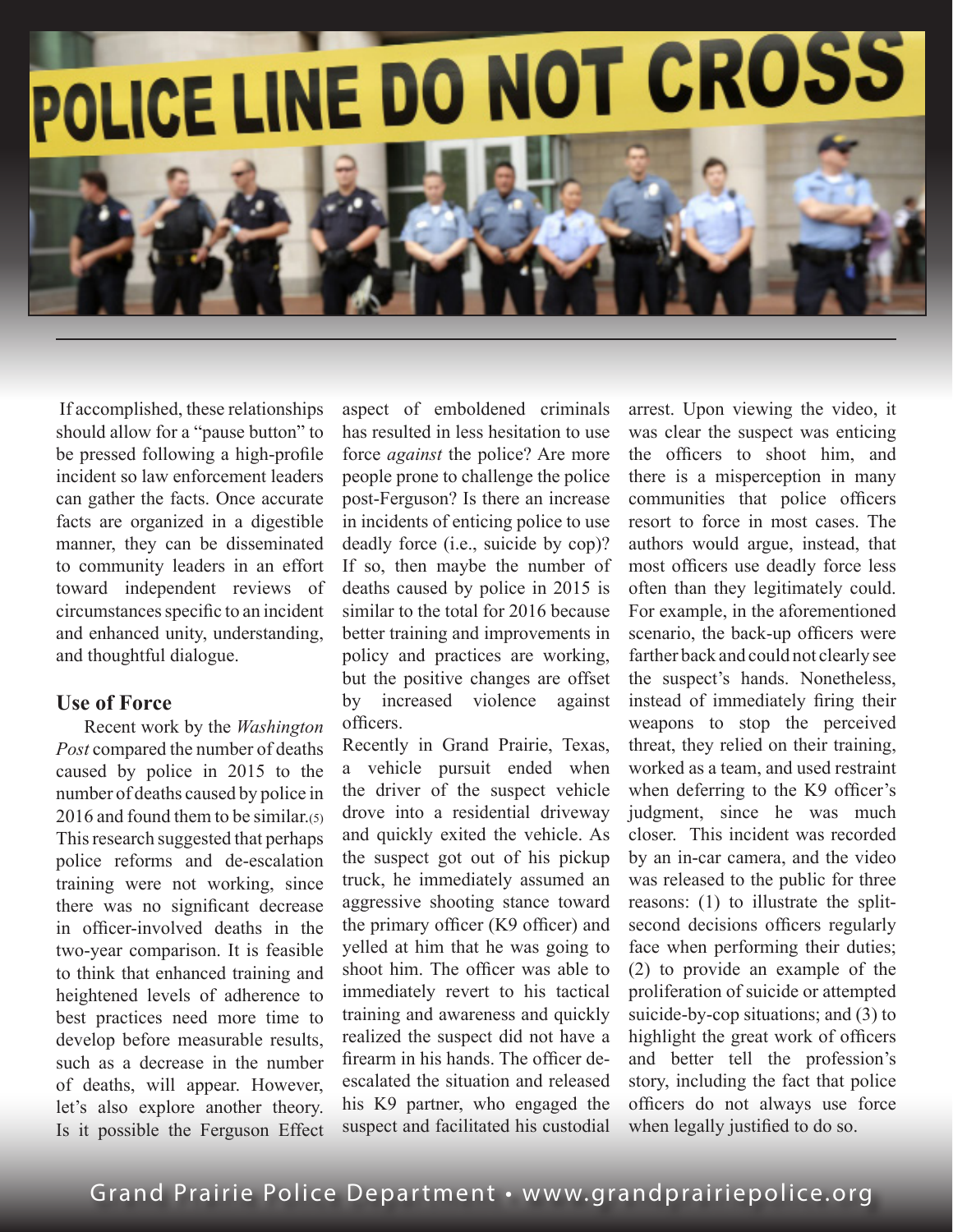

 If accomplished, these relationships should allow for a "pause button" to be pressed following a high-profile incident so law enforcement leaders can gather the facts. Once accurate facts are organized in a digestible manner, they can be disseminated to community leaders in an effort toward independent reviews of circumstances specific to an incident and enhanced unity, understanding, and thoughtful dialogue.

# **Use of Force**

Recent work by the *Washington Post* compared the number of deaths caused by police in 2015 to the number of deaths caused by police in 2016 and found them to be similar.(5) This research suggested that perhaps police reforms and de-escalation training were not working, since there was no significant decrease in officer-involved deaths in the two-year comparison. It is feasible to think that enhanced training and heightened levels of adherence to best practices need more time to develop before measurable results, such as a decrease in the number of deaths, will appear. However, let's also explore another theory. Is it possible the Ferguson Effect aspect of emboldened criminals has resulted in less hesitation to use force *against* the police? Are more people prone to challenge the police post-Ferguson? Is there an increase in incidents of enticing police to use deadly force (i.e., suicide by cop)? If so, then maybe the number of deaths caused by police in 2015 is similar to the total for 2016 because better training and improvements in policy and practices are working, but the positive changes are offset by increased violence against officers.

Recently in Grand Prairie, Texas, a vehicle pursuit ended when the driver of the suspect vehicle drove into a residential driveway and quickly exited the vehicle. As the suspect got out of his pickup truck, he immediately assumed an aggressive shooting stance toward the primary officer (K9 officer) and yelled at him that he was going to shoot him. The officer was able to immediately revert to his tactical training and awareness and quickly realized the suspect did not have a firearm in his hands. The officer deescalated the situation and released his K9 partner, who engaged the suspect and facilitated his custodial

arrest. Upon viewing the video, it was clear the suspect was enticing the officers to shoot him, and there is a misperception in many communities that police officers resort to force in most cases. The authors would argue, instead, that most officers use deadly force less often than they legitimately could. For example, in the aforementioned scenario, the back-up officers were farther back and could not clearly see the suspect's hands. Nonetheless, instead of immediately firing their weapons to stop the perceived threat, they relied on their training, worked as a team, and used restraint when deferring to the K9 officer's judgment, since he was much closer. This incident was recorded by an in-car camera, and the video was released to the public for three reasons: (1) to illustrate the splitsecond decisions officers regularly face when performing their duties; (2) to provide an example of the proliferation of suicide or attempted suicide-by-cop situations; and (3) to highlight the great work of officers and better tell the profession's story, including the fact that police officers do not always use force when legally justified to do so.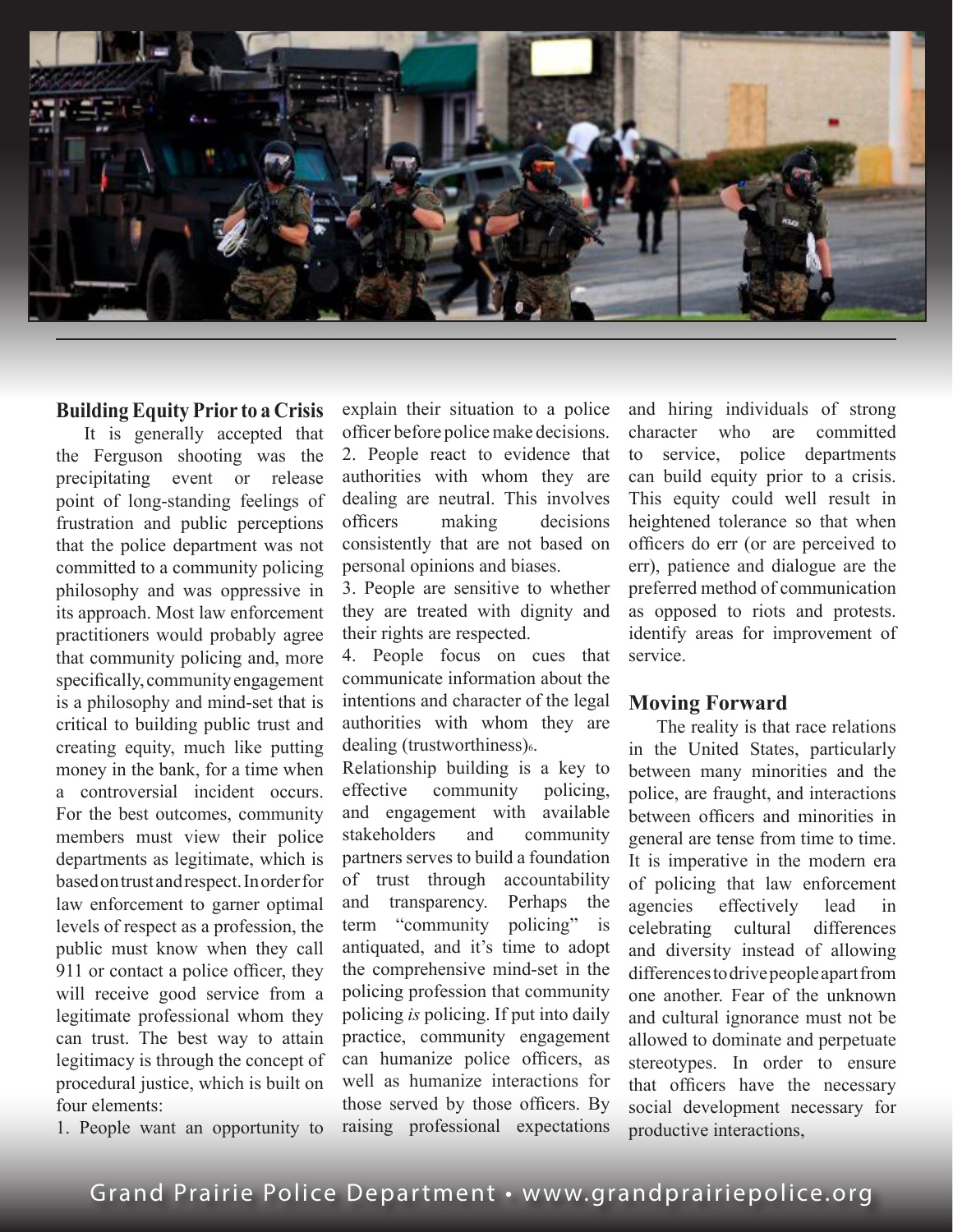

# **Building Equity Prior to a Crisis**

It is generally accepted that the Ferguson shooting was the precipitating event or release point of long-standing feelings of frustration and public perceptions that the police department was not committed to a community policing philosophy and was oppressive in its approach. Most law enforcement practitioners would probably agree that community policing and, more specifically, community engagement is a philosophy and mind-set that is critical to building public trust and creating equity, much like putting money in the bank, for a time when a controversial incident occurs. For the best outcomes, community members must view their police departments as legitimate, which is based on trust and respect. In order for law enforcement to garner optimal levels of respect as a profession, the public must know when they call 911 or contact a police officer, they will receive good service from a legitimate professional whom they can trust. The best way to attain legitimacy is through the concept of procedural justice, which is built on four elements:

1. People want an opportunity to

explain their situation to a police officer before police make decisions. 2. People react to evidence that authorities with whom they are dealing are neutral. This involves officers making decisions consistently that are not based on personal opinions and biases.

3. People are sensitive to whether they are treated with dignity and their rights are respected.

4. People focus on cues that communicate information about the intentions and character of the legal authorities with whom they are dealing (trustworthiness) $6$ .

Relationship building is a key to<br>effective community policing. effective community and engagement with available stakeholders and community partners serves to build a foundation of trust through accountability and transparency. Perhaps the term "community policing" is antiquated, and it's time to adopt the comprehensive mind-set in the policing profession that community policing *is* policing. If put into daily practice, community engagement can humanize police officers, as well as humanize interactions for those served by those officers. By raising professional expectations

and hiring individuals of strong character who are committed to service, police departments can build equity prior to a crisis. This equity could well result in heightened tolerance so that when officers do err (or are perceived to err), patience and dialogue are the preferred method of communication as opposed to riots and protests. identify areas for improvement of service.

#### **Moving Forward**

The reality is that race relations in the United States, particularly between many minorities and the police, are fraught, and interactions between officers and minorities in general are tense from time to time. It is imperative in the modern era of policing that law enforcement agencies effectively lead in celebrating cultural differences and diversity instead of allowing differences to drive people apart from one another. Fear of the unknown and cultural ignorance must not be allowed to dominate and perpetuate stereotypes. In order to ensure that officers have the necessary social development necessary for productive interactions,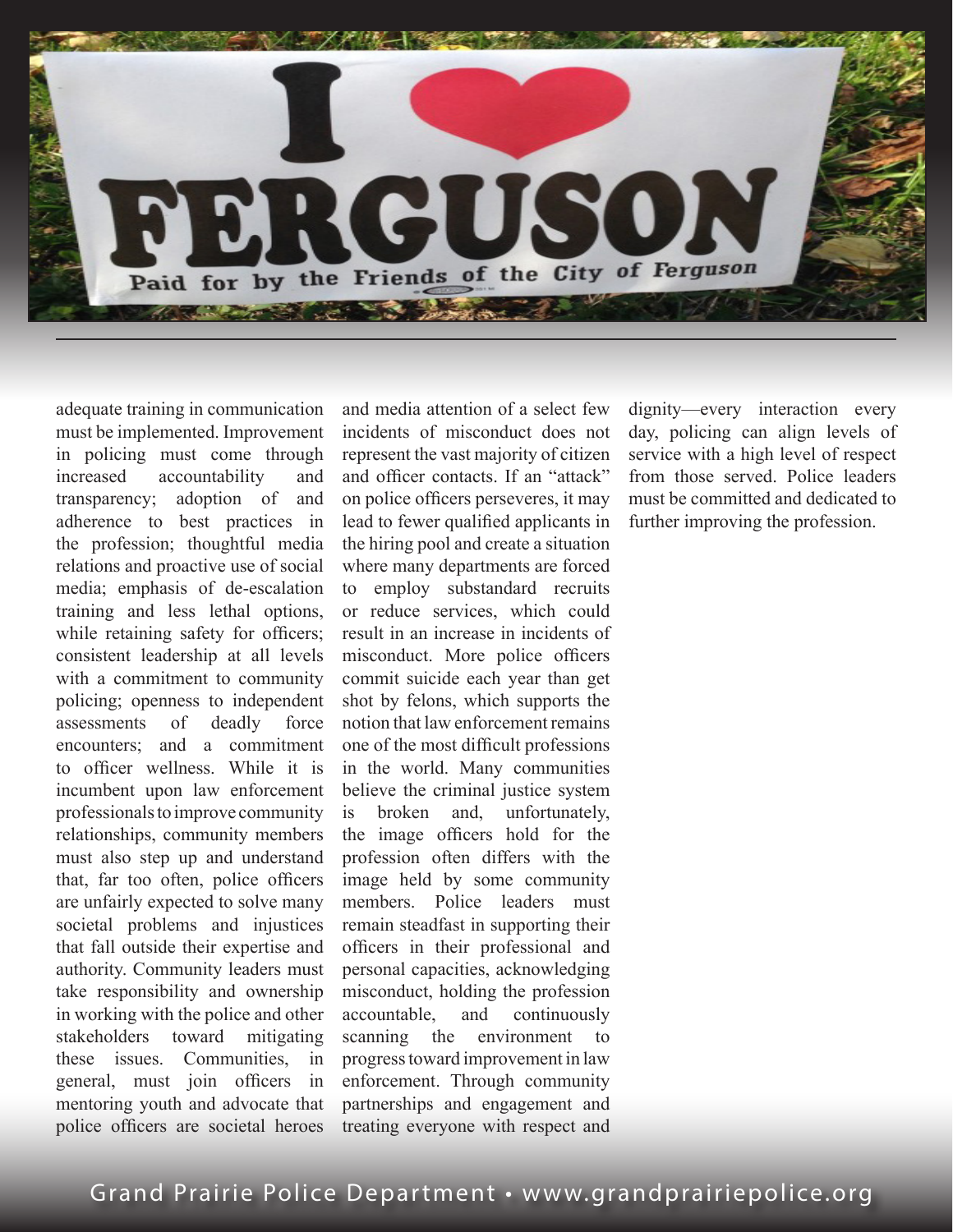

adequate training in communication must be implemented. Improvement in policing must come through increased accountability and transparency; adoption of and adherence to best practices in the profession; thoughtful media relations and proactive use of social media; emphasis of de-escalation training and less lethal options, while retaining safety for officers; consistent leadership at all levels with a commitment to community policing; openness to independent assessments of deadly force encounters; and a commitment to officer wellness. While it is incumbent upon law enforcement professionals to improve community relationships, community members must also step up and understand that, far too often, police officers are unfairly expected to solve many societal problems and injustices that fall outside their expertise and authority. Community leaders must take responsibility and ownership in working with the police and other stakeholders toward mitigating these issues. Communities, in general, must join officers in mentoring youth and advocate that police officers are societal heroes

and media attention of a select few incidents of misconduct does not represent the vast majority of citizen and officer contacts. If an "attack" on police officers perseveres, it may lead to fewer qualified applicants in the hiring pool and create a situation where many departments are forced to employ substandard recruits or reduce services, which could result in an increase in incidents of misconduct. More police officers commit suicide each year than get shot by felons, which supports the notion that law enforcement remains one of the most difficult professions in the world. Many communities believe the criminal justice system is broken and, unfortunately, the image officers hold for the profession often differs with the image held by some community members. Police leaders must remain steadfast in supporting their officers in their professional and personal capacities, acknowledging misconduct, holding the profession accountable, and continuously scanning the environment to progress toward improvement in law enforcement. Through community partnerships and engagement and treating everyone with respect and

dignity—every interaction every day, policing can align levels of service with a high level of respect from those served. Police leaders must be committed and dedicated to further improving the profession.